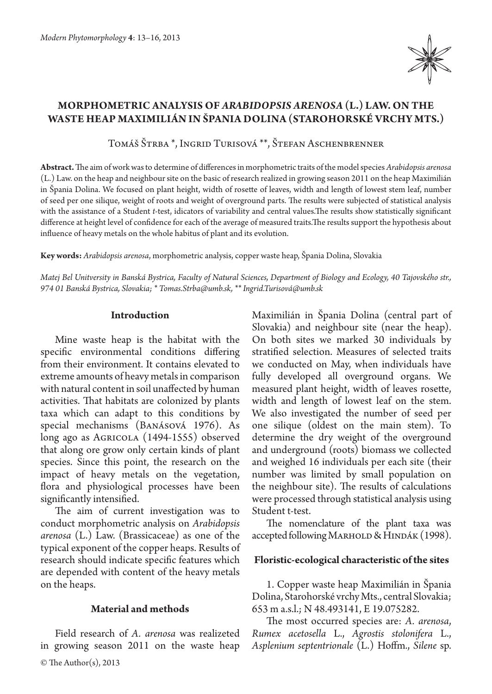

# **Morphometric analysis of** *Arabidopsis arenosa* **(L.) Law. on the waste heap Maximilián in Špania Dolina (Starohorské vrchy Mts.)**

Tomáš Štrba \*, Ingrid Turisová \*\*, Štefan Aschenbrenner

**Abstract.** The aim of work was to determine of differences in morphometric traits of the model species *Arabidopsis arenosa* (L.) Law. on the heap and neighbour site on the basic of research realized in growing season 2011 on the heap Maximilián in Špania Dolina. We focused on plant height, width of rosette of leaves, width and length of lowest stem leaf, number of seed per one silique, weight of roots and weight of overground parts. The results were subjected of statistical analysis with the assistance of a Student *t*-test, idicators of variability and central values.The results show statistically significant difference at height level of confidence for each of the average of measured traits.The results support the hypothesis about influence of heavy metals on the whole habitus of plant and its evolution.

**Key words:** *Arabidopsis arenosa*, morphometric analysis, copper waste heap, Špania Dolina, Slovakia

*Matej Bel Unitversity in Banská Bystrica, Faculty of Natural Sciences, Department of Biology and Ecology, 40 Tajovského str., 974 01 Banská Bystrica, Slovakia; \* Tomas.Strba@umb.sk, \*\* Ingrid.Turisová@umb.sk*

## **Introduction**

Mine waste heap is the habitat with the specific environmental conditions differing from their environment. It contains elevated to extreme amounts of heavy metals in comparison with natural content in soil unaffected by human activities. That habitats are colonized by plants taxa which can adapt to this conditions by special mechanisms (Banásová 1976). As long ago as AGRICOLA (1494-1555) observed that along ore grow only certain kinds of plant species. Since this point, the research on the impact of heavy metals on the vegetation, flora and physiological processes have been significantly intensified.

The aim of current investigation was to conduct morphometric analysis on *Arabidopsis arenosa* (L.) Law. (Brassicaceae) as one of the typical exponent of the copper heaps. Results of research should indicate specific features which are depended with content of the heavy metals on the heaps.

## **Material and methods**

Field research of *A. arenosa* was realizeted in growing season 2011 on the waste heap

Maximilián in Špania Dolina (central part of Slovakia) and neighbour site (near the heap). On both sites we marked 30 individuals by stratified selection. Measures of selected traits we conducted on May, when individuals have fully developed all overground organs. We measured plant height, width of leaves rosette, width and length of lowest leaf on the stem. We also investigated the number of seed per one silique (oldest on the main stem). To determine the dry weight of the overground and underground (roots) biomass we collected and weighed 16 individuals per each site (their number was limited by small population on the neighbour site). The results of calculations were processed through statistical analysis using Student t-test.

The nomenclature of the plant taxa was accepted following Marhold & Hindák (1998).

# **Floristic-ecological characteristic of the sites**

1. Copper waste heap Maximilián in Špania Dolina, Starohorské vrchy Mts., central Slovakia; 653 m a.s.l.; N 48.493141, E 19.075282.

The most occurred species are: *A. arenosa*, *Rumex acetosella* L., *Agrostis stolonifera*  L., *Asplenium septentrionale* (L.) Hoffm., *Silene* sp.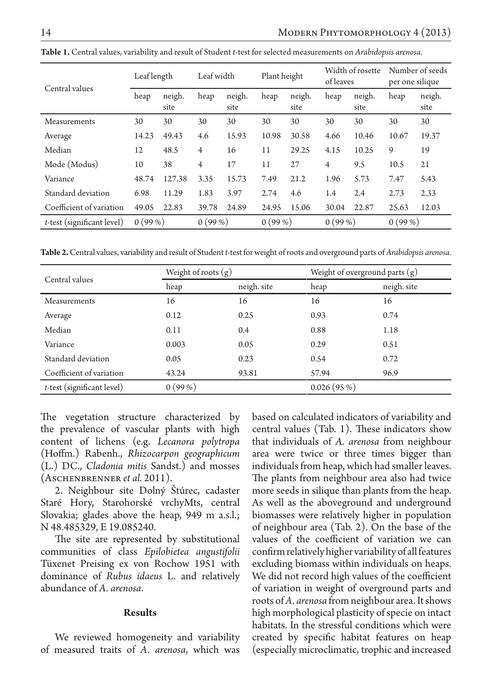| Central values             | Leaf length |                | Leaf width |                | Plant height |                | Width of rosette<br>of leaves |                | Number of seeds<br>per one silique |                |
|----------------------------|-------------|----------------|------------|----------------|--------------|----------------|-------------------------------|----------------|------------------------------------|----------------|
|                            | heap        | neigh.<br>site | heap       | neigh.<br>site | heap         | neigh.<br>site | heap                          | neigh.<br>site | heap                               | neigh.<br>site |
| Measurements               | 30          | 30             | 30         | 30             | 30           | 30             | 30                            | 30             | 30                                 | 30             |
| Average                    | 14.23       | 49.43          | 4.6        | 15.93          | 10.98        | 30.58          | 4.66                          | 10.46          | 10.67                              | 19.37          |
| Median                     | 12          | 48.5           | 4          | 16             | 11           | 29.25          | 4.15                          | 10.25          | 9                                  | 19             |
| Mode (Modus)               | 10          | 38             | 4          | 17             | 11           | 27             | $\overline{4}$                | 9.5            | 10.5                               | 21             |
| Variance                   | 48.74       | 127.38         | 3.35       | 15.73          | 7.49         | 21.2           | 1.96                          | 5.73           | 7.47                               | 5.43           |
| Standard deviation         | 6.98        | 11.29          | 1.83       | 3.97           | 2.74         | 4.6            | 1.4                           | 2.4            | 2.73                               | 2.33           |
| Coefficient of variation   | 49.05       | 22.83          | 39.78      | 24.89          | 24.95        | 15.06          | 30.04                         | 22.87          | 25.63                              | 12.03          |
| t-test (significant level) | 0(99%)      |                | 0(99%)     |                | 0(99%)       |                | 0(99%)                        |                | 0(99%)                             |                |

**Table 1.** Central values, variability and result of Student *t*-test for selected measurements on *Arabidopsis arenosa*.

**Table 2.** Central values, variability and result of Student *t*-test for weight of roots and overground parts of *Arabidopsis arenosa.*

| Central values                | Weight of roots $(g)$ |             | Weight of overground parts $(g)$ |             |  |  |
|-------------------------------|-----------------------|-------------|----------------------------------|-------------|--|--|
|                               | heap                  | neigh. site | heap                             | neigh. site |  |  |
| Measurements                  | 16                    | 16          | 16                               | 16          |  |  |
| Average                       | 0.12                  | 0.25        | 0.93                             | 0.74        |  |  |
| Median                        | 0.11                  | 0.4         | 0.88                             | 1.18        |  |  |
| Variance                      | 0.003                 | 0.05        | 0.29                             | 0.51        |  |  |
| Standard deviation            | 0.05                  | 0.23        | 0.54                             | 0.72        |  |  |
| Coefficient of variation      | 43.24                 | 93.81       | 57.94                            | 96.9        |  |  |
| $t$ -test (significant level) | 0(99%)                |             | 0.026(95%)                       |             |  |  |

The vegetation structure characterized by the prevalence of vascular plants with high content of lichens (e.g. *Lecanora polytropa* (Hoffm.) Rabenh., *Rhizocarpon geographicum* (L.) DC., *Cladonia mitis* Sandst.) and mosses (Aschenbrenner *et al.* 2011).

2. Neighbour site Dolný Štúrec, cadaster Staré Hory, Starohorské vrchyMts, central Slovakia; glades above the heap, 949 m a.s.l.; N 48.485329, E 19.085240.

The site are represented by substitutional communities of class *Epilobietea angustifolii*  Tüxenet Preising ex von Rochow 1951 with dominance of *Rubus idaeus* L. and relatively abundance of *A. arenosa*.

## **Results**

We reviewed homogeneity and variability of measured traits of *A. arenosa*, which was

based on calculated indicators of variability and central values (Tab. 1). These indicators show that individuals of *A. arenosa* from neighbour area were twice or three times bigger than individuals from heap, which had smaller leaves. The plants from neighbour area also had twice more seeds in silique than plants from the heap. As well as the aboveground and underground biomasses were relatively higher in population of neighbour area (Tab. 2). On the base of the values of the coefficient of variation we can confirm relatively higher variability of all features excluding biomass within individuals on heaps. We did not record high values of the coefficient of variation in weight of overground parts and roots of *A. arenosa* from neighbour area. It shows high morphological plasticity of specie on intact habitats. In the stressful conditions which were created by specific habitat features on heap (especially microclimatic, trophic and increased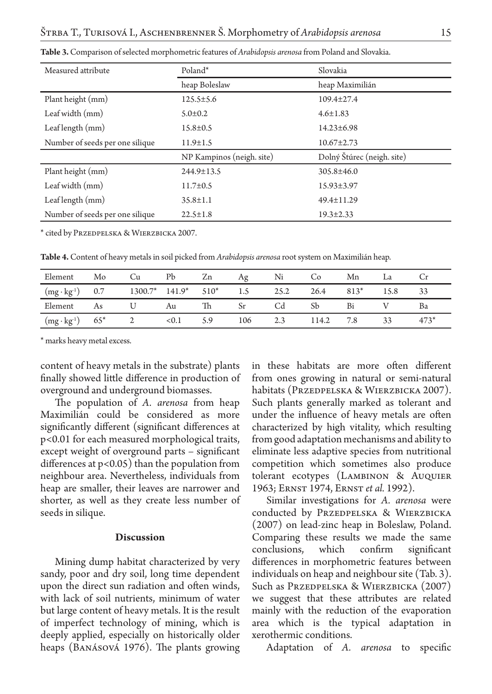| Measured attribute              | Poland*                   | Slovakia                   |  |  |
|---------------------------------|---------------------------|----------------------------|--|--|
|                                 | heap Boleslaw             | heap Maximilián            |  |  |
| Plant height (mm)               | $125.5 \pm 5.6$           | 109.4±27.4                 |  |  |
| Leaf width (mm)                 | $5.0 \pm 0.2$             | $4.6 \pm 1.83$             |  |  |
| Leaf length (mm)                | $15.8 \pm 0.5$            | $14.23 \pm 6.98$           |  |  |
| Number of seeds per one silique | $11.9 \pm 1.5$            | $10.67 \pm 2.73$           |  |  |
|                                 | NP Kampinos (neigh. site) | Dolný Štúrec (neigh. site) |  |  |
| Plant height (mm)               | $244.9 \pm 13.5$          | $305.8 \pm 46.0$           |  |  |
| Leaf width (mm)                 | $11.7 \pm 0.5$            | $15.93 \pm 3.97$           |  |  |
| Leaf length (mm)                | $35.8 \pm 1.1$            | 49.4±11.29                 |  |  |
| Number of seeds per one silique | $22.5 \pm 1.8$            | $19.3 \pm 2.33$            |  |  |

**Table 3.** Comparison of selected morphometric features of *Arabidopsis arenosa* from Poland and Slovakia.

\* cited by Przedpelska & Wierzbicka 2007.

**Table 4.** Content of heavy metals in soil picked from *Arabidopsis arenosa* root system on Maximilián heap.

| Element                              | Mo | Сu | Pb                           | Zn  | Ag  | Ni   | Co.   | Mn     | La   |     |
|--------------------------------------|----|----|------------------------------|-----|-----|------|-------|--------|------|-----|
| $(mg \cdot kg^{-1})$ 0.7             |    |    | $1300.7^*$ $141.9^*$ $510^*$ |     | 1.5 | 25.2 | 26.4  | $813*$ | 15.8 | -33 |
| Element                              | As |    | Au                           | 'Ih |     | Cd   | Sb    | Bi     |      | ва  |
| $(mg \cdot kg^{-1})$ 65 <sup>*</sup> |    |    | 0.1                          |     | 106 | 2.3  | 114.2 | 7.8    |      |     |

\* marks heavy metal excess.

content of heavy metals in the substrate) plants finally showed little difference in production of overground and underground biomasses.

The population of *A. arenosa* from heap Maximilián could be considered as more significantly different (significant differences at p<0.01 for each measured morphological traits, except weight of overground parts – significant differences at  $p < 0.05$ ) than the population from neighbour area. Nevertheless, individuals from heap are smaller, their leaves are narrower and shorter, as well as they create less number of seeds in silique.

#### **Discussion**

Mining dump habitat characterized by very sandy, poor and dry soil, long time dependent upon the direct sun radiation and often winds, with lack of soil nutrients, minimum of water but large content of heavy metals. It is the result of imperfect technology of mining, which is deeply applied, especially on historically older heaps (Banásová 1976). The plants growing in these habitats are more often different from ones growing in natural or semi-natural habitats (Przedpelska & Wierzbicka 2007). Such plants generally marked as tolerant and under the influence of heavy metals are often characterized by high vitality, which resulting from good adaptation mechanisms and ability to eliminate less adaptive species from nutritional competition which sometimes also produce tolerant ecotypes (Lambinon & Auquier 1963; Ernst 1974, Ernst *et al.* 1992).

Similar investigations for *A. arenosa* were conducted by PRZEDPELSKA & WIERZBICKA (2007) on lead-zinc heap in Boleslaw, Poland. Comparing these results we made the same conclusions, which confirm significant differences in morphometric features between individuals on heap and neighbour site (Tab. 3). Such as Przedpelska & Wierzbicka (2007) we suggest that these attributes are related mainly with the reduction of the evaporation area which is the typical adaptation in xerothermic conditions.

Adaptation of *A. arenosa* to specific